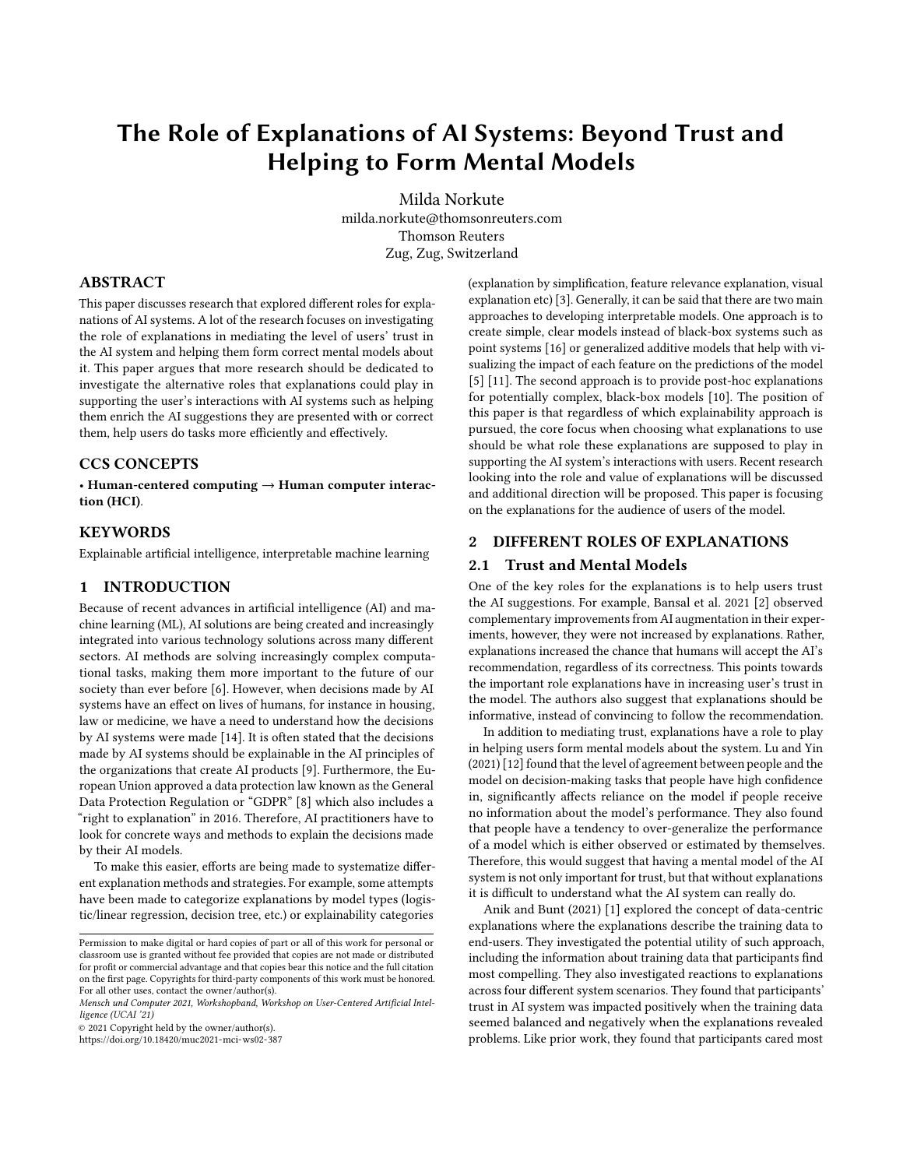# The Role of Explanations of AI Systems: Beyond Trust and Helping to Form Mental Models

[Milda Norkute](https://orcid.org/0000-0002-7817-1171) milda.norkute@thomsonreuters.com Thomson Reuters Zug, Zug, Switzerland

## ABSTRACT

This paper discusses research that explored different roles for explanations of AI systems. A lot of the research focuses on investigating the role of explanations in mediating the level of users' trust in the AI system and helping them form correct mental models about it. This paper argues that more research should be dedicated to investigate the alternative roles that explanations could play in supporting the user's interactions with AI systems such as helping them enrich the AI suggestions they are presented with or correct them, help users do tasks more efficiently and effectively.

## CCS CONCEPTS

• Human-centered computing  $\rightarrow$  Human computer interaction (HCI).

## **KEYWORDS**

Explainable artificial intelligence, interpretable machine learning

### 1 INTRODUCTION

Because of recent advances in artificial intelligence (AI) and machine learning (ML), AI solutions are being created and increasingly integrated into various technology solutions across many different sectors. AI methods are solving increasingly complex computational tasks, making them more important to the future of our society than ever before [\[6\]](#page-1-0). However, when decisions made by AI systems have an effect on lives of humans, for instance in housing, law or medicine, we have a need to understand how the decisions by AI systems were made [\[14\]](#page-2-0). It is often stated that the decisions made by AI systems should be explainable in the AI principles of the organizations that create AI products [\[9\]](#page-1-1). Furthermore, the European Union approved a data protection law known as the General Data Protection Regulation or "GDPR" [\[8\]](#page-1-2) which also includes a "right to explanation" in 2016. Therefore, AI practitioners have to look for concrete ways and methods to explain the decisions made by their AI models.

To make this easier, efforts are being made to systematize different explanation methods and strategies. For example, some attempts have been made to categorize explanations by model types (logistic/linear regression, decision tree, etc.) or explainability categories

© 2021 Copyright held by the owner/author(s).

<https://doi.org/10.18420/muc2021-mci-ws02-387>

(explanation by simplification, feature relevance explanation, visual explanation etc) [\[3\]](#page-1-3). Generally, it can be said that there are two main approaches to developing interpretable models. One approach is to create simple, clear models instead of black-box systems such as point systems [\[16\]](#page-2-1) or generalized additive models that help with visualizing the impact of each feature on the predictions of the model [\[5\]](#page-1-4) [\[11\]](#page-2-2). The second approach is to provide post-hoc explanations for potentially complex, black-box models [\[10\]](#page-1-5). The position of this paper is that regardless of which explainability approach is pursued, the core focus when choosing what explanations to use should be what role these explanations are supposed to play in supporting the AI system's interactions with users. Recent research looking into the role and value of explanations will be discussed and additional direction will be proposed. This paper is focusing on the explanations for the audience of users of the model.

# 2 DIFFERENT ROLES OF EXPLANATIONS

#### 2.1 Trust and Mental Models

One of the key roles for the explanations is to help users trust the AI suggestions. For example, Bansal et al. 2021 [\[2\]](#page-1-6) observed complementary improvements from AI augmentation in their experiments, however, they were not increased by explanations. Rather, explanations increased the chance that humans will accept the AI's recommendation, regardless of its correctness. This points towards the important role explanations have in increasing user's trust in the model. The authors also suggest that explanations should be informative, instead of convincing to follow the recommendation.

In addition to mediating trust, explanations have a role to play in helping users form mental models about the system. Lu and Yin (2021) [\[12\]](#page-2-3) found that the level of agreement between people and the model on decision-making tasks that people have high confidence in, significantly affects reliance on the model if people receive no information about the model's performance. They also found that people have a tendency to over-generalize the performance of a model which is either observed or estimated by themselves. Therefore, this would suggest that having a mental model of the AI system is not only important for trust, but that without explanations it is difficult to understand what the AI system can really do.

Anik and Bunt (2021) [\[1\]](#page-1-7) explored the concept of data-centric explanations where the explanations describe the training data to end-users. They investigated the potential utility of such approach, including the information about training data that participants find most compelling. They also investigated reactions to explanations across four different system scenarios. They found that participants' trust in AI system was impacted positively when the training data seemed balanced and negatively when the explanations revealed problems. Like prior work, they found that participants cared most

Permission to make digital or hard copies of part or all of this work for personal or classroom use is granted without fee provided that copies are not made or distributed for profit or commercial advantage and that copies bear this notice and the full citation on the first page. Copyrights for third-party components of this work must be honored. For all other uses, contact the owner/author(s).

Mensch und Computer 2021, Workshopband, Workshop on User-Centered Artificial Intelligence (UCAI '21)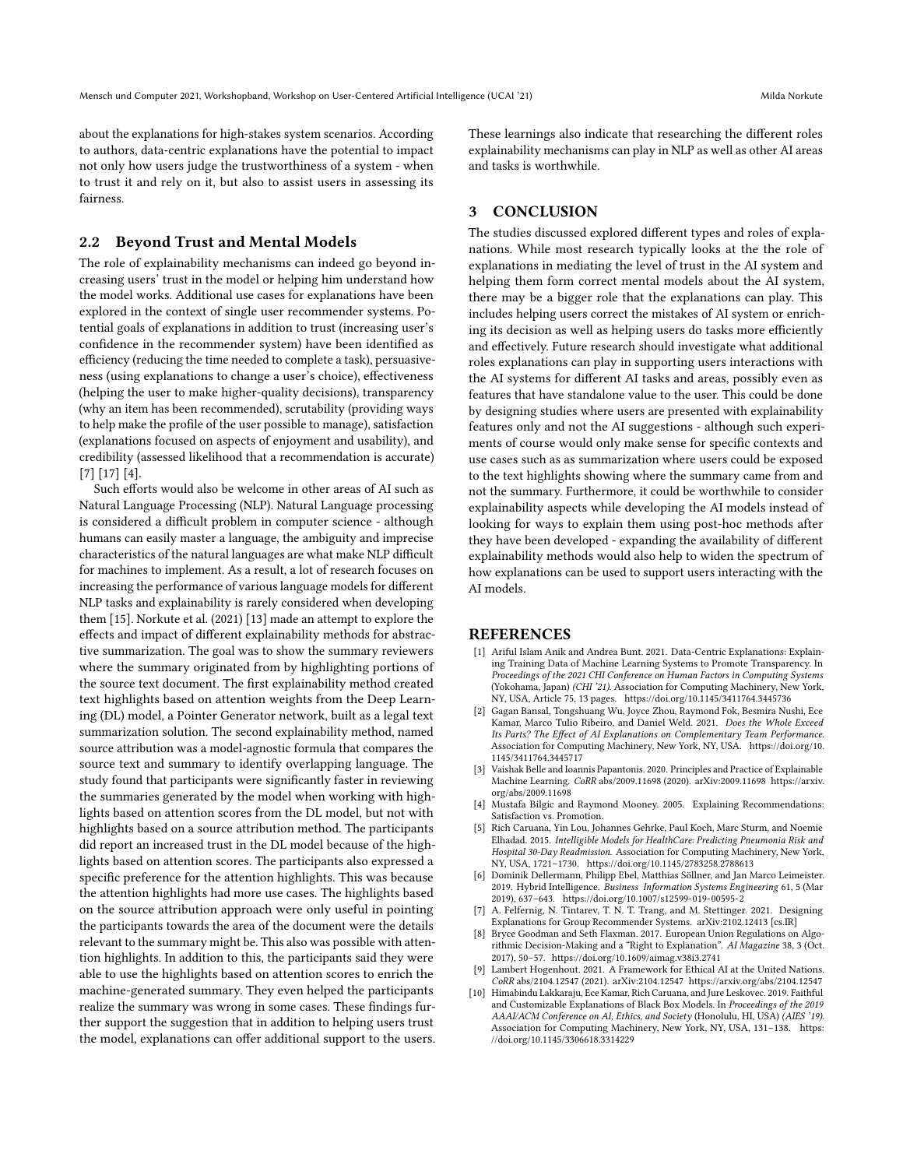about the explanations for high-stakes system scenarios. According to authors, data-centric explanations have the potential to impact not only how users judge the trustworthiness of a system - when to trust it and rely on it, but also to assist users in assessing its fairness.

## 2.2 Beyond Trust and Mental Models

The role of explainability mechanisms can indeed go beyond increasing users' trust in the model or helping him understand how the model works. Additional use cases for explanations have been explored in the context of single user recommender systems. Potential goals of explanations in addition to trust (increasing user's confidence in the recommender system) have been identified as efficiency (reducing the time needed to complete a task), persuasiveness (using explanations to change a user's choice), effectiveness (helping the user to make higher-quality decisions), transparency (why an item has been recommended), scrutability (providing ways to help make the profile of the user possible to manage), satisfaction (explanations focused on aspects of enjoyment and usability), and credibility (assessed likelihood that a recommendation is accurate) [\[7\]](#page-1-8) [\[17\]](#page-2-4) [\[4\]](#page-1-9).

Such efforts would also be welcome in other areas of AI such as Natural Language Processing (NLP). Natural Language processing is considered a difficult problem in computer science - although humans can easily master a language, the ambiguity and imprecise characteristics of the natural languages are what make NLP difficult for machines to implement. As a result, a lot of research focuses on increasing the performance of various language models for different NLP tasks and explainability is rarely considered when developing them [\[15\]](#page-2-5). Norkute et al. (2021) [\[13\]](#page-2-6) made an attempt to explore the effects and impact of different explainability methods for abstractive summarization. The goal was to show the summary reviewers where the summary originated from by highlighting portions of the source text document. The first explainability method created text highlights based on attention weights from the Deep Learning (DL) model, a Pointer Generator network, built as a legal text summarization solution. The second explainability method, named source attribution was a model-agnostic formula that compares the source text and summary to identify overlapping language. The study found that participants were significantly faster in reviewing the summaries generated by the model when working with highlights based on attention scores from the DL model, but not with highlights based on a source attribution method. The participants did report an increased trust in the DL model because of the highlights based on attention scores. The participants also expressed a specific preference for the attention highlights. This was because the attention highlights had more use cases. The highlights based on the source attribution approach were only useful in pointing the participants towards the area of the document were the details relevant to the summary might be. This also was possible with attention highlights. In addition to this, the participants said they were able to use the highlights based on attention scores to enrich the machine-generated summary. They even helped the participants realize the summary was wrong in some cases. These findings further support the suggestion that in addition to helping users trust the model, explanations can offer additional support to the users.

These learnings also indicate that researching the different roles explainability mechanisms can play in NLP as well as other AI areas and tasks is worthwhile.

# 3 CONCLUSION

The studies discussed explored different types and roles of explanations. While most research typically looks at the the role of explanations in mediating the level of trust in the AI system and helping them form correct mental models about the AI system, there may be a bigger role that the explanations can play. This includes helping users correct the mistakes of AI system or enriching its decision as well as helping users do tasks more efficiently and effectively. Future research should investigate what additional roles explanations can play in supporting users interactions with the AI systems for different AI tasks and areas, possibly even as features that have standalone value to the user. This could be done by designing studies where users are presented with explainability features only and not the AI suggestions - although such experiments of course would only make sense for specific contexts and use cases such as as summarization where users could be exposed to the text highlights showing where the summary came from and not the summary. Furthermore, it could be worthwhile to consider explainability aspects while developing the AI models instead of looking for ways to explain them using post-hoc methods after they have been developed - expanding the availability of different explainability methods would also help to widen the spectrum of how explanations can be used to support users interacting with the AI models.

#### REFERENCES

- <span id="page-1-7"></span>[1] Ariful Islam Anik and Andrea Bunt. 2021. Data-Centric Explanations: Explaining Training Data of Machine Learning Systems to Promote Transparency. In Proceedings of the 2021 CHI Conference on Human Factors in Computing Systems (Yokohama, Japan) (CHI '21). Association for Computing Machinery, New York, NY, USA, Article 75, 13 pages.<https://doi.org/10.1145/3411764.3445736>
- <span id="page-1-6"></span>[2] Gagan Bansal, Tongshuang Wu, Joyce Zhou, Raymond Fok, Besmira Nushi, Ece Kamar, Marco Tulio Ribeiro, and Daniel Weld. 2021. Does the Whole Exceed Its Parts? The Effect of AI Explanations on Complementary Team Performance. Association for Computing Machinery, New York, NY, USA. [https://doi.org/10.](https://doi.org/10.1145/3411764.3445717) [1145/3411764.3445717](https://doi.org/10.1145/3411764.3445717)
- <span id="page-1-3"></span>[3] Vaishak Belle and Ioannis Papantonis. 2020. Principles and Practice of Explainable Machine Learning. CoRR abs/2009.11698 (2020). arXiv[:2009.11698 https://arxiv.](https://arxiv.org/abs/2009.11698) [org/abs/2009.11698](https://arxiv.org/abs/2009.11698)
- <span id="page-1-9"></span>[4] Mustafa Bilgic and Raymond Mooney. 2005. Explaining Recommendations: Satisfaction vs. Promotion.
- <span id="page-1-4"></span>[5] Rich Caruana, Yin Lou, Johannes Gehrke, Paul Koch, Marc Sturm, and Noemie Elhadad. 2015. Intelligible Models for HealthCare: Predicting Pneumonia Risk and Hospital 30-Day Readmission. Association for Computing Machinery, New York, NY, USA, 1721–1730.<https://doi.org/10.1145/2783258.2788613>
- <span id="page-1-0"></span>[6] Dominik Dellermann, Philipp Ebel, Matthias Söllner, and Jan Marco Leimeister. 2019. Hybrid Intelligence. Business Information Systems Engineering 61, 5 (Mar 2019), 637–643.<https://doi.org/10.1007/s12599-019-00595-2>
- <span id="page-1-8"></span>A. Felfernig, N. Tintarev, T. N. T. Trang, and M. Stettinger. 2021. Designing Explanations for Group Recommender Systems. arXiv[:2102.12413](https://arxiv.org/abs/2102.12413) [cs.IR]
- <span id="page-1-2"></span>[8] Bryce Goodman and Seth Flaxman. 2017. European Union Regulations on Algorithmic Decision-Making and a "Right to Explanation". AI Magazine 38, 3 (Oct. 2017), 50–57.<https://doi.org/10.1609/aimag.v38i3.2741>
- <span id="page-1-1"></span>[9] Lambert Hogenhout. 2021. A Framework for Ethical AI at the United Nations. CoRR abs/2104.12547 (2021). arXiv[:2104.12547 https://arxiv.org/abs/2104.12547](https://arxiv.org/abs/2104.12547)
- <span id="page-1-5"></span>[10] Himabindu Lakkaraju, Ece Kamar, Rich Caruana, and Jure Leskovec. 2019. Faithful and Customizable Explanations of Black Box Models. In Proceedings of the 2019 AAAI/ACM Conference on AI, Ethics, and Society (Honolulu, HI, USA) (AIES '19). Association for Computing Machinery, New York, NY, USA, 131–138. [https:](https://doi.org/10.1145/3306618.3314229) [//doi.org/10.1145/3306618.3314229](https://doi.org/10.1145/3306618.3314229)